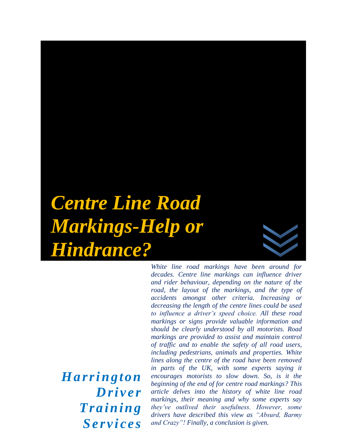# *Centre Line Road Markings-Help or Hindrance?*

*White line road markings have been around for decades. Centre line markings can influence driver and rider behaviour, depending on the nature of the road, the layout of the markings, and the type of accidents amongst other criteria. Increasing or decreasing the length of the centre lines could be used to influence a driver's speed choice. All these road markings or signs provide valuable information and should be clearly understood by all motorists. Road markings are provided to assist and maintain control of traffic and to enable the safety of all road users, including pedestrians, animals and properties. White lines along the centre of the road have been removed in parts of the UK, with some experts saying it encourages motorists to slow down. So, is it the beginning of the end of for centre road markings? This article delves into the history of white line road markings, their meaning and why some experts say they've outlived their usefulness. However, some drivers have described this view as "Absurd, Barmy and Crazy"! Finally, a conclusion is given.* 

*H ar r i ngton Dri ver*   $$ *Se r v i c e s*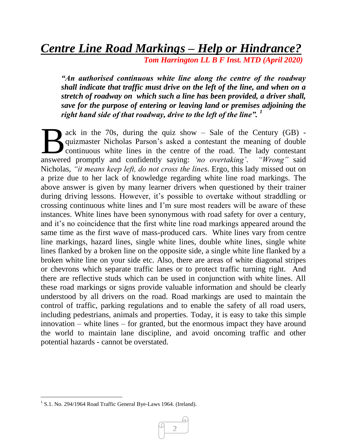# *Centre Line Road Markings – Help or Hindrance?*

 *Tom Harrington LL B F Inst. MTD (April 2020)*

*"An authorised continuous white line along the centre of the roadway shall indicate that traffic must drive on the left of the line, and when on a stretch of roadway on which such a line has been provided, a driver shall, save for the purpose of entering or leaving land or premises adjoining the right hand side of that roadway, drive to the left of the line". <sup>1</sup>*

ack in the 70s, during the quiz show – Sale of the Century (GB) quizmaster Nicholas Parson's asked a contestant the meaning of double continuous white lines in the centre of the road. The lady contestant ack in the 70s, during the quiz show – Sale of the Century (GB) - quizmaster Nicholas Parson's asked a contestant the meaning of double continuous white lines in the centre of the road. The lady contestant answered promptl Nicholas, *"it means keep left, do not cross the lines.* Ergo, this lady missed out on a prize due to her lack of knowledge regarding white line road markings. The above answer is given by many learner drivers when questioned by their trainer during driving lessons. However, it's possible to overtake without straddling or crossing continuous white lines and I'm sure most readers will be aware of these instances. White lines have been synonymous with road safety for over a century, and it's no coincidence that the first white line road markings appeared around the same time as the first wave of mass-produced cars. White lines vary from centre line markings, hazard lines, single white lines, double white lines, single white lines flanked by a broken line on the opposite side, a single white line flanked by a broken white line on your side etc. Also, there are areas of white diagonal stripes or chevrons which separate traffic lanes or to protect traffic turning right. And there are reflective studs which can be used in conjunction with white lines. All these road markings or signs provide valuable information and should be clearly understood by all drivers on the road. Road markings are used to maintain the control of traffic, parking regulations and to enable the safety of all road users, including pedestrians, animals and properties. Today, it is easy to take this simple innovation – white lines – for granted, but the enormous impact they have around the world to maintain lane discipline, and avoid oncoming traffic and other potential hazards - cannot be overstated.

 $\overline{a}$ 



 $1$  S.1. No. 294/1964 Road Traffic General Bye-Laws 1964. (Ireland).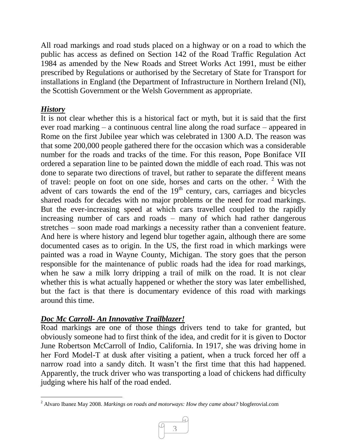All road markings and road studs placed on a highway or on a road to which the public has access as defined on Section 142 of the Road Traffic Regulation Act 1984 as amended by the New Roads and Street Works Act 1991, must be either prescribed by Regulations or authorised by the Secretary of State for Transport for installations in England (the Department of Infrastructure in Northern Ireland (NI), the Scottish Government or the Welsh Government as appropriate.

#### *History*

It is not clear whether this is a historical fact or myth, but it is said that the first ever road marking – a continuous central line along the road surface – appeared in Rome on the first Jubilee year which was celebrated in 1300 A.D. The reason was that some 200,000 people gathered there for the occasion which was a considerable number for the roads and tracks of the time. For this reason, Pope Boniface VII ordered a separation line to be painted down the middle of each road. This was not done to separate two directions of travel, but rather to separate the different means of travel: people on foot on one side, horses and carts on the other. <sup>2</sup> With the advent of cars towards the end of the  $19<sup>th</sup>$  century, cars, carriages and bicycles shared roads for decades with no major problems or the need for road markings. But the ever-increasing speed at which cars travelled coupled to the rapidly increasing number of cars and roads – many of which had rather dangerous stretches – soon made road markings a necessity rather than a convenient feature. And here is where history and legend blur together again, although there are some documented cases as to origin. In the US, the first road in which markings were painted was a road in Wayne County, Michigan. The story goes that the person responsible for the maintenance of public roads had the idea for road markings, when he saw a milk lorry dripping a trail of milk on the road. It is not clear whether this is what actually happened or whether the story was later embellished, but the fact is that there is documentary evidence of this road with markings around this time.

# *Doc Mc Carroll- An Innovative Trailblazer!*

Road markings are one of those things drivers tend to take for granted, but obviously someone had to first think of the idea, and credit for it is given to Doctor June Robertson McCarroll of Indio, California. In 1917, she was driving home in her Ford Model-T at dusk after visiting a patient, when a truck forced her off a narrow road into a sandy ditch. It wasn't the first time that this had happened. Apparently, the truck driver who was transporting a load of chickens had difficulty judging where his half of the road ended.

 $\overline{a}$ <sup>2</sup> Alvaro Ibanez May 2008. *Markings on roads and motorways: How they came about?* blogferovial.com

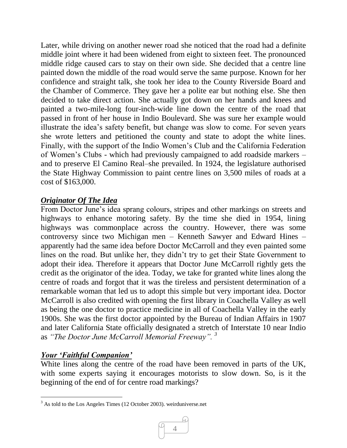Later, while driving on another newer road she noticed that the road had a definite middle joint where it had been widened from eight to sixteen feet. The pronounced middle ridge caused cars to stay on their own side. She decided that a centre line painted down the middle of the road would serve the same purpose. Known for her confidence and straight talk, she took her idea to the County Riverside Board and the Chamber of Commerce. They gave her a polite ear but nothing else. She then decided to take direct action. She actually got down on her hands and knees and painted a two-mile-long four-inch-wide line down the centre of the road that passed in front of her house in Indio Boulevard. She was sure her example would illustrate the idea's safety benefit, but change was slow to come. For seven years she wrote letters and petitioned the county and state to adopt the white lines. Finally, with the support of the Indio Women's Club and the California Federation of Women's Clubs - which had previously campaigned to add roadside markers – and to preserve El Camino Real–she prevailed. In 1924, the legislature authorised the State Highway Commission to paint centre lines on 3,500 miles of roads at a cost of \$163,000.

#### *Originator Of The Idea*

From Doctor June's idea sprang colours, stripes and other markings on streets and highways to enhance motoring safety. By the time she died in 1954, lining highways was commonplace across the country. However, there was some controversy since two Michigan men – Kenneth Sawyer and Edward Hines – apparently had the same idea before Doctor McCarroll and they even painted some lines on the road. But unlike her, they didn't try to get their State Government to adopt their idea. Therefore it appears that Doctor June McCarroll rightly gets the credit as the originator of the idea. Today, we take for granted white lines along the centre of roads and forgot that it was the tireless and persistent determination of a remarkable woman that led us to adopt this simple but very important idea. Doctor McCarroll is also credited with opening the first library in Coachella Valley as well as being the one doctor to practice medicine in all of Coachella Valley in the early 1900s. She was the first doctor appointed by the Bureau of Indian Affairs in 1907 and later California State officially designated a stretch of Interstate 10 near Indio as *"The Doctor June McCarroll Memorial Freeway". <sup>3</sup>*

# *Your 'Faithful Companion'*

 $\overline{a}$ 

White lines along the centre of the road have been removed in parts of the UK, with some experts saying it encourages motorists to slow down. So, is it the beginning of the end of for centre road markings?

 $3$  As told to the Los Angeles Times (12 October 2003). weirduniverse.net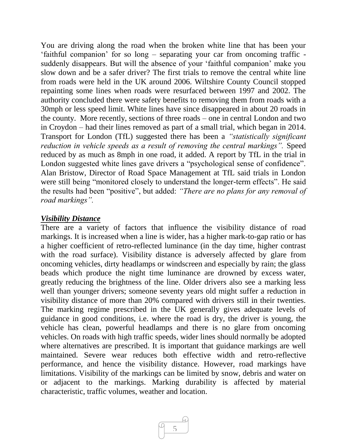You are driving along the road when the broken white line that has been your 'faithful companion' for so long – separating your car from oncoming traffic suddenly disappears. But will the absence of your 'faithful companion' make you slow down and be a safer driver? The first trials to remove the central white line from roads were held in the UK around 2006. Wiltshire County Council stopped repainting some lines when roads were resurfaced between 1997 and 2002. The authority concluded there were safety benefits to removing them from roads with a 30mph or less speed limit. White lines have since disappeared in about 20 roads in the county. More recently, sections of three roads – one in central London and two in Croydon – had their lines removed as part of a small trial, which began in 2014. Transport for London (TfL) suggested there has been a *"statistically significant reduction in vehicle speeds as a result of removing the central markings".* Speed reduced by as much as 8mph in one road, it added. A report by TfL in the trial in London suggested white lines gave drivers a "psychological sense of confidence". Alan Bristow, Director of Road Space Management at TfL said trials in London were still being "monitored closely to understand the longer-term effects". He said the results had been "positive", but added: *"There are no plans for any removal of road markings".* 

#### *Visibility Distance*

There are a variety of factors that influence the visibility distance of road markings. It is increased when a line is wider, has a higher mark-to-gap ratio or has a higher coefficient of retro-reflected luminance (in the day time, higher contrast with the road surface). Visibility distance is adversely affected by glare from oncoming vehicles, dirty headlamps or windscreen and especially by rain; the glass beads which produce the night time luminance are drowned by excess water, greatly reducing the brightness of the line. Older drivers also see a marking less well than younger drivers; someone seventy years old might suffer a reduction in visibility distance of more than 20% compared with drivers still in their twenties. The marking regime prescribed in the UK generally gives adequate levels of guidance in good conditions, i.e. where the road is dry, the driver is young, the vehicle has clean, powerful headlamps and there is no glare from oncoming vehicles. On roads with high traffic speeds, wider lines should normally be adopted where alternatives are prescribed. It is important that guidance markings are well maintained. Severe wear reduces both effective width and retro-reflective performance, and hence the visibility distance. However, road markings have limitations. Visibility of the markings can be limited by snow, debris and water on or adjacent to the markings. Marking durability is affected by material characteristic, traffic volumes, weather and location.

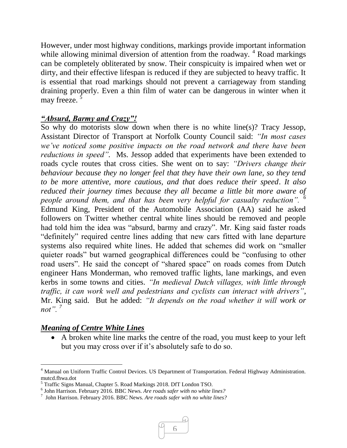However, under most highway conditions, markings provide important information while allowing minimal diversion of attention from the roadway.<sup>4</sup> Road markings can be completely obliterated by snow. Their conspicuity is impaired when wet or dirty, and their effective lifespan is reduced if they are subjected to heavy traffic. It is essential that road markings should not prevent a carriageway from standing draining properly. Even a thin film of water can be dangerous in winter when it may freeze.

# *"Absurd, Barmy and Crazy"!*

So why do motorists slow down when there is no white line(s)? Tracy Jessop, Assistant Director of Transport at Norfolk County Council said: *"In most cases we've noticed some positive impacts on the road network and there have been reductions in speed".* Ms. Jessop added that experiments have been extended to roads cycle routes that cross cities. She went on to say: *"Drivers change their behaviour because they no longer feel that they have their own lane, so they tend to be more attentive, more cautious, and that does reduce their speed*. *It also reduced their journey times because they all became a little bit more aware of people around them, and that has been very helpful for casualty reduction". <sup>6</sup>* Edmund King, President of the Automobile Association (AA) said he asked followers on Twitter whether central white lines should be removed and people had told him the idea was "absurd, barmy and crazy". Mr. King said faster roads "definitely" required centre lines adding that new cars fitted with lane departure systems also required white lines. He added that schemes did work on "smaller quieter roads" but warned geographical differences could be "confusing to other road users". He said the concept of "shared space" on roads comes from Dutch engineer Hans Monderman, who removed traffic lights, lane markings, and even kerbs in some towns and cities. *"In medieval Dutch villages, with little through traffic, it can work well and pedestrians and cyclists can interact with drivers",*  Mr. King said. But he added: *"It depends on the road whether it will work or not". <sup>7</sup>*

# *Meaning of Centre White Lines*

 A broken white line marks the centre of the road, you must keep to your left but you may cross over if it's absolutely safe to do so.

<sup>6</sup> John Harrison. February 2016. BBC News. *Are roads safer with no white lines?*  7 John Harrison. February 2016. BBC News. *Are roads safer with no white lines?* 



 $\overline{a}$ <sup>4</sup> Manual on Uniform Traffic Control Devices. US Department of Transportation. Federal Highway Administration. mutcd.fhwa.dot

<sup>5</sup> Traffic Signs Manual, Chapter 5. Road Markings 2018. DfT London TSO.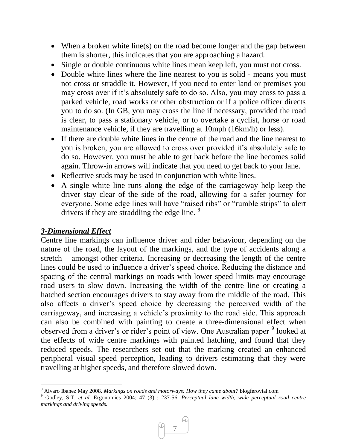- When a broken white line(s) on the road become longer and the gap between them is shorter, this indicates that you are approaching a hazard.
- Single or double continuous white lines mean keep left, you must not cross.
- Double white lines where the line nearest to you is solid means you must not cross or straddle it. However, if you need to enter land or premises you may cross over if it's absolutely safe to do so. Also, you may cross to pass a parked vehicle, road works or other obstruction or if a police officer directs you to do so. (In GB, you may cross the line if necessary, provided the road is clear, to pass a stationary vehicle, or to overtake a cyclist, horse or road maintenance vehicle, if they are travelling at 10mph (16km/h) or less).
- If there are double white lines in the centre of the road and the line nearest to you is broken, you are allowed to cross over provided it's absolutely safe to do so. However, you must be able to get back before the line becomes solid again. Throw-in arrows will indicate that you need to get back to your lane.
- Reflective studs may be used in conjunction with white lines.
- A single white line runs along the edge of the carriageway help keep the driver stay clear of the side of the road, allowing for a safer journey for everyone. Some edge lines will have "raised ribs" or "rumble strips" to alert drivers if they are straddling the edge line. <sup>8</sup>

# *3-Dimensional Effect*

Centre line markings can influence driver and rider behaviour, depending on the nature of the road, the layout of the markings, and the type of accidents along a stretch – amongst other criteria. Increasing or decreasing the length of the centre lines could be used to influence a driver's speed choice. Reducing the distance and spacing of the central markings on roads with lower speed limits may encourage road users to slow down. Increasing the width of the centre line or creating a hatched section encourages drivers to stay away from the middle of the road. This also affects a driver's speed choice by decreasing the perceived width of the carriageway, and increasing a vehicle's proximity to the road side. This approach can also be combined with painting to create a three-dimensional effect when observed from a driver's or rider's point of view. One Australian paper <sup>9</sup> looked at the effects of wide centre markings with painted hatching, and found that they reduced speeds. The researchers set out that the marking created an enhanced peripheral visual speed perception, leading to drivers estimating that they were travelling at higher speeds, and therefore slowed down.

<sup>9</sup> Godley, S.T. *et al*. Ergonomics 2004; 47 (3) : 237-56. *Perceptual lane width, wide perceptual road centre markings and driving speeds.* 



 $\overline{a}$ <sup>8</sup> Alvaro Ibanez May 2008. *Markings on roads and motorways: How they came about?* blogferovial.com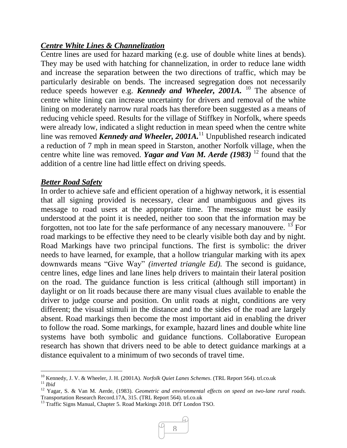# *Centre White Lines & Channelization*

Centre lines are used for hazard marking (e.g. use of double white lines at bends). They may be used with hatching for channelization, in order to reduce lane width and increase the separation between the two directions of traffic, which may be particularly desirable on bends. The increased segregation does not necessarily reduce speeds however e.g. *Kennedy and Wheeler*, 2001A. <sup>10</sup> The absence of centre white lining can increase uncertainty for drivers and removal of the white lining on moderately narrow rural roads has therefore been suggested as a means of reducing vehicle speed. Results for the village of Stiffkey in Norfolk, where speeds were already low, indicated a slight reduction in mean speed when the centre white line was removed *Kennedy and Wheeler*, 2001A.<sup>11</sup> Unpublished research indicated a reduction of 7 mph in mean speed in Starston, another Norfolk village, when the centre white line was removed. *Yagar and Van M. Aerde* (1983)<sup>12</sup> found that the addition of a centre line had little effect on driving speeds.

#### *Better Road Safety*

In order to achieve safe and efficient operation of a highway network, it is essential that all signing provided is necessary, clear and unambiguous and gives its message to road users at the appropriate time. The message must be easily understood at the point it is needed, neither too soon that the information may be forgotten, not too late for the safe performance of any necessary manouvere.  $13$  For road markings to be effective they need to be clearly visible both day and by night. Road Markings have two principal functions. The first is symbolic: the driver needs to have learned, for example, that a hollow triangular marking with its apex downwards means "Give Way" *(inverted triangle Ed).* The second is guidance, centre lines, edge lines and lane lines help drivers to maintain their lateral position on the road. The guidance function is less critical (although still important) in daylight or on lit roads because there are many visual clues available to enable the driver to judge course and position. On unlit roads at night, conditions are very different; the visual stimuli in the distance and to the sides of the road are largely absent. Road markings then become the most important aid in enabling the driver to follow the road. Some markings, for example, hazard lines and double white line systems have both symbolic and guidance functions. Collaborative European research has shown that drivers need to be able to detect guidance markings at a distance equivalent to a minimum of two seconds of travel time.

<sup>&</sup>lt;sup>13</sup> Traffic Signs Manual, Chapter 5. Road Markings 2018. DfT London TSO.



l <sup>10</sup> Kennedy, J. V. & Wheeler, J. H. (2001A). *Norfolk Quiet Lanes Schemes*. (TRL Report 564). trl.co.uk <sup>11</sup> *Ibid*

<sup>12</sup> Yagar, S. & Van M. Aerde, (1983). *Geometric and environmental effects on speed on two-lane rural roads.* Transportation Research Record.17A, 315. (TRL Report 564). trl.co.uk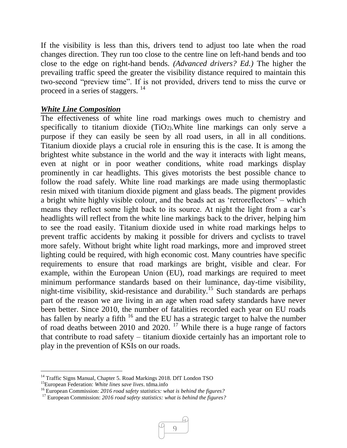If the visibility is less than this, drivers tend to adjust too late when the road changes direction. They run too close to the centre line on left-hand bends and too close to the edge on right-hand bends. *(Advanced drivers? Ed.)* The higher the prevailing traffic speed the greater the visibility distance required to maintain this two-second "preview time". If is not provided, drivers tend to miss the curve or proceed in a series of staggers.<sup>14</sup>

#### *White Line Composition*

The effectiveness of white line road markings owes much to chemistry and specifically to titanium dioxide (TiO2).White line markings can only serve a purpose if they can easily be seen by all road users, in all in all conditions. Titanium dioxide plays a crucial role in ensuring this is the case. It is among the brightest white substance in the world and the way it interacts with light means, even at night or in poor weather conditions, white road markings display prominently in car headlights. This gives motorists the best possible chance to follow the road safely. White line road markings are made using thermoplastic resin mixed with titanium dioxide pigment and glass beads. The pigment provides a bright white highly visible colour, and the beads act as 'retroreflectors' – which means they reflect some light back to its source. At night the light from a car's headlights will reflect from the white line markings back to the driver, helping him to see the road easily. Titanium dioxide used in white road markings helps to prevent traffic accidents by making it possible for drivers and cyclists to travel more safely. Without bright white light road markings, more and improved street lighting could be required, with high economic cost. Many countries have specific requirements to ensure that road markings are bright, visible and clear. For example, within the European Union (EU), road markings are required to meet minimum performance standards based on their luminance, day-time visibility, night-time visibility, skid-resistance and durability.<sup>15</sup> Such standards are perhaps part of the reason we are living in an age when road safety standards have never been better. Since 2010, the number of fatalities recorded each year on EU roads has fallen by nearly a fifth <sup>16</sup> and the EU has a strategic target to halve the number of road deaths between 2010 and 2020. <sup>17</sup> While there is a huge range of factors that contribute to road safety – titanium dioxide certainly has an important role to play in the prevention of KSIs on our roads.

l <sup>14</sup> Traffic Signs Manual, Chapter 5. Road Markings 2018. DfT London TSO

<sup>15</sup>European Federation: *White lines save lives*. tdma.info

<sup>16</sup> European Commission: *2016 road safety statistics: what is behind the figures?*

<sup>&</sup>lt;sup>17</sup> European Commission: 2016 *road safety statistics: what is behind the figures?*